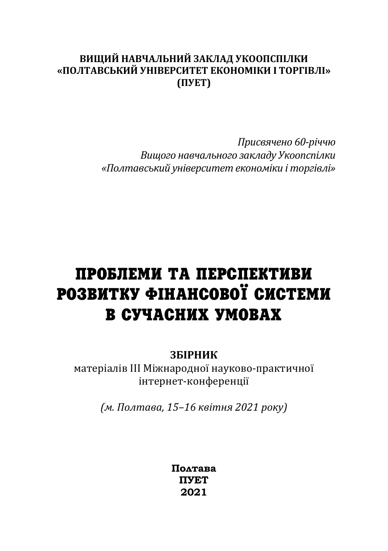# ВИШИЙ НАВЧАЛЬНИЙ ЗАКЛАД УКООПСПІЛКИ «ПОЛТАВСЬКИЙ УНІВЕРСИТЕТ ЕКОНОМІКИ І ТОРГІВЛІ» **ȋʞʢʔʡȌ**

*П˓ˋ˔˅ˢчˈːˑ ͼͶ-˓іччˡ*  Вищого навчального закладу Укоопспілки «Полтавський університет економіки і торгівлі»

# ПРОБЛЕМИ ТА ПЕРСПЕКТИВИ РОЗВИТКУ ФІНАНСОВОЇ СИСТЕМИ В СУЧАСНИХ УМОВАХ

## **ЗБІРНИК**

матеріалів III Міжнародної науково-практичної інтернет-конференції

 $(M. \Pi\omega)$ тава, 15-16 квітня 2021 року)

**Полтава ПУЕТ 2021**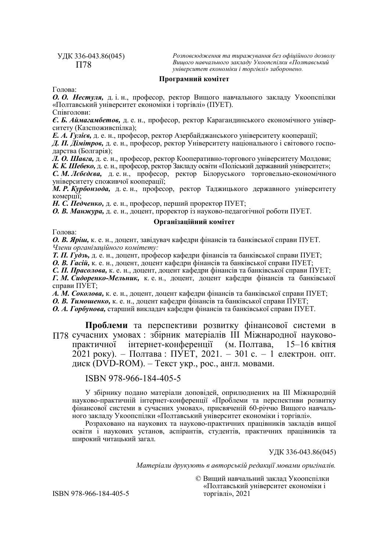#### УДК 336-043.86(045) П78

*Розповсюдження та тиражування без офіційного дозволу Вищого навчального закладу Укоопспілки «Полтавський університет економіки і торгівлі» заборонено.*

#### **Програмний комітет**

Голова:

*О. О. Нестуля,* д. і. н., професор, ректор Вищого навчального закладу Укоопспілки «Полтавський університет економіки і торгівлі» (ПУЕТ).

Співголови:

*Є. Б. Аймагамбетов,* д. е. н., професор, ректор Карагандинського економічного університету (Казспоживспілка);

*Е. А. Гулієв,* д. е. н., професор, ректор Азербайджанського університету кооперації;

*Д. П. Дімітров,* д. е. н., професор, ректор Університету національного і світового господарства (Болгарія);

*Л. О. Шавга,* д. е. н., професор, ректор Кооперативно-торгового університету Молдови;

*К. К. Шебеко,* д. е. н., професор, ректор Закладу освіти «Поліський державний університет»;

*С. М. Лєбєдєва,* д. е. н., професор, ректор Білоруського торговельно-економічного університету споживчої кооперації;

*М. Р. Курбонзода,* д. е. н., професор, ректор Таджицького державного університету комерції;

*Н. С. Педченко,* д. е. н., професор, перший проректор ПУЕТ;

*О. В. Манжура,* д. е. н., доцент, проректор із науково-педагогічної роботи ПУЕТ.

### **Організаційний комітет**

Голова:

*О. В. Яріш,* к. е. н., доцент, завідувач кафедри фінансів та банківської справи ПУЕТ. *Члени організаційного комітету:* 

*Т. П. Гудзь,* д. е. н., доцент, професор кафедри фінансів та банківської справи ПУЕТ;

*О. В. Гасій,* к. е. н., доцент, доцент кафедри фінансів та банківської справи ПУЕТ;

*С. П. Прасолова,* к. е. н., доцент, доцент кафедри фінансів та банківської справи ПУЕТ;

*Г. М. Сидоренко-Мельник,* к. е. н., доцент, доцент кафедри фінансів та банківської справи ПУЕТ;

*А. М. Соколова,* к. е. н., доцент, доцент кафедри фінансів та банківської справи ПУЕТ;

*О. В. Тимошенко,* к. е. н., доцент кафедри фінансів та банківської справи ПУЕТ;

*О. А. Горбунова,* старший викладач кафедри фінансів та банківської справи ПУЕТ.

**Проблеми** та перспективи розвитку фінансової системи в П78 сучасних умовах : збірник матеріалів III Міжнародної науковопрактичної інтернет-конференції (м. Полтава, 15–16 квітня 2021 року). – Полтава : ПУЕТ, 2021. – 301 с. – 1 електрон. опт. диск (DVD-ROM). – Текст укр., рос., англ. мовами.

### ISBN 978-966-184-405-5

У збірнику подано матеріали доповідей, оприлюднених на ІІІ Міжнародній науково-практичній інтернет-конференції «Проблеми та перспективи розвитку фінансової системи в сучасних умовах», присвяченій 60-річчю Вищого навчального закладу Укоопспілки «Полтавський університет економіки і торгівлі».

Розраховано на наукових та науково-практичних працівників закладів вищої освіти і наукових установ, аспірантів, студентів, практичних працівників та широкий читацький загал.

УДК 336-043.86(045)

*Матеріали друкують в авторській редакції мовами оригіналів.* 

© Вищий навчальний заклад Укоопспілки «Полтавський університет економіки і торгівлі», 2021

ISBN 978-966-184-405-5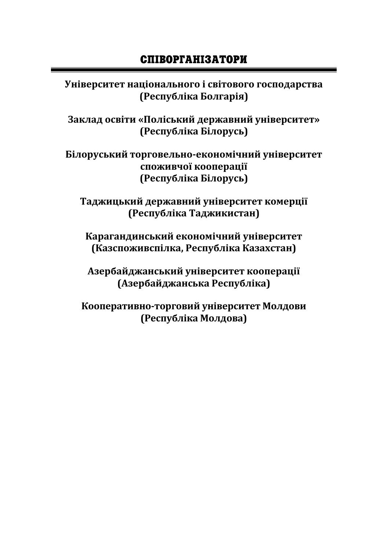# СПІВОРГАНІЗАТОРИ

Університет національного і світового господарства **(Республіка Болгарія)** 

Заклад освіти «Поліський державний університет» **(Республіка Білорусь)** 

**ʐ˪ˎˑ˓˖˔ьˍˋˌ ˕ˑ˓ˆˑ˅ˈˎьːˑ-ˈˍˑːˑˏ˪˚ːˋˌ ˖ː˪˅ˈ˓˔ˋ˕ˈ˕**  споживчої кооперації **(Республіка Білорусь)** 

Таджицький державний університет комерції **(Республіка Таджикистан)** 

Карагандинський економічний університет (Казспоживспілка, Республіка Казахстан)

Азербайджанський університет кооперації **(Азербайджанська Республіка)** 

Кооперативно-торговий університет Молдови **(Республіка Молдова)**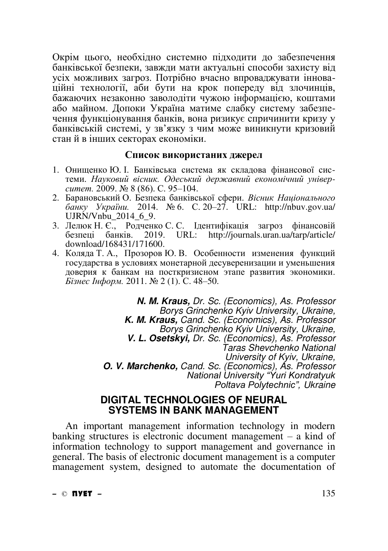Окрім цього, необхідно системно підходити до забезпечення банківської безпеки, завжди мати актуальні способи захисту від усіх можливих загроз. Потрібно вчасно впроваджувати інноваúцині технології, аби бути на крок поперелу віл злочинців. бажаючих незаконно заволодіти чужою інформацією, коштами або майном. Допоки Україна матиме слабку систему забезпечення функціонування банків, вона ризикує спричинити кризу у банківській системі, у зв'язку з чим може виникнути кризовий стан й в інших секторах економіки.

### Список використаних джерел

- 1. Онищенко Ю. І. Банківська система як складова фінансової системи. Науковий вісник. Одеський державний економічний універ*cumem.* 2009. № 8 (86). C. 95–104.
- 2. Барановський О. Безпека банківської сфери. Вісник Національного *ɛɚɧɤɭ ɍɤɪɚʀɧɢ.* 2014. № 6. ɋ. 20–27. URL: http://nbuv.gov.ua/ UJRN/Vnbu\_2014\_6\_9.
- 3. Лелюк Н. Є., Родченко С. С. Ідентифікація загроз фінансовій безпеці банків. 2019. URL: http://journals.uran.ua/tarp/article/ download/168431/171600.
- 4. Коляда Т. А., Прозоров Ю. В. Особенности изменения функций государства в условиях монетарной десуверенизации и уменьшения доверия к банкам на посткризисном этапе развития экономики. *Бізнес Інформ*. 2011. № 2 (1). С. 48–50.

*N. M. Kraus, Dr. Sc. (Economics), As. Professor Borys Grinchenko Kyiv University, Ukraine, K. M. Kraus, Cand. Sc. (Economics), As. Professor Borys Grinchenko Kyiv University, Ukraine, V. L. Osetskyi, Dr. Sc. (Economics), As. Professor Taras Shevchenko National University of Kyiv, Ukraine, O. V. Marchenko, Cand. Sc. (Economics), As. Professor National University "Yuri Kondratyuk*  $Poltava$  Polytechnic", Ukraine

### **DIGITAL TECHNOLOGIES OF NEURAL SYSTEMS IN BANK MANAGEMENT**

An important management information technology in modern banking structures is electronic document management – a kind of information technology to support management and governance in general. The basis of electronic document management is a computer management system, designed to automate the documentation of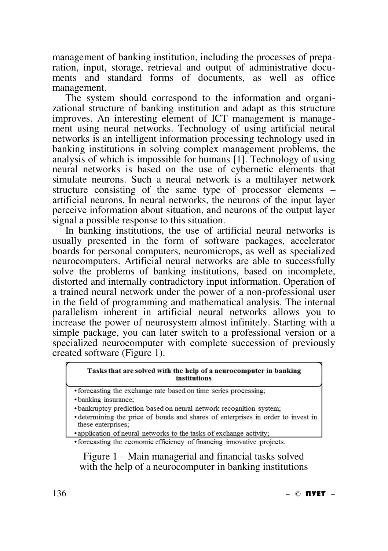management of banking institution, including the processes of preparation, input, storage, retrieval and output of administrative documents and standard forms of documents, as well as office management.

The system should correspond to the information and organizational structure of banking institution and adapt as this structure improves. An interesting element of ICT management is management using neural networks. Technology of using artificial neural networks is an intelligent information processing technology used in banking institutions in solving complex management problems, the analysis of which is impossible for humans [1]. Technology of using neural networks is based on the use of cybernetic elements that simulate neurons. Such a neural network is a multilayer network structure consisting of the same type of processor elements – artificial neurons. In neural networks, the neurons of the input layer perceive information about situation, and neurons of the output layer signal a possible response to this situation.

In banking institutions, the use of artificial neural networks is usually presented in the form of software packages, accelerator boards for personal computers, neuromicrops, as well as specialized neurocomputers. Artificial neural networks are able to successfully solve the problems of banking institutions, based on incomplete, distorted and internally contradictory input information. Operation of a trained neural network under the power of a non-professional user in the field of programming and mathematical analysis. The internal parallelism inherent in artificial neural networks allows you to increase the power of neurosystem almost infinitely. Starting with a simple package, you can later switch to a professional version or a specialized neurocomputer with complete succession of previously created software (Figure 1).

#### Tasks that are solved with the help of a neurocomputer in banking institutions

• forecasting the exchange rate based on time series processing;

· banking insurance;

· bankruptcy prediction based on neural network recognition system;

• determining the price of bonds and shares of enterprises in order to invest in these enterprises;

• application of neural networks to the tasks of exchange activity;

• forecasting the economic efficiency of financing innovative projects.

Figure 1 – Main managerial and financial tasks solved with the help of a neurocomputer in banking institutions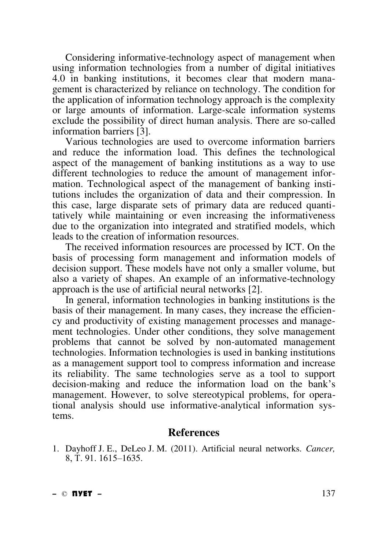Considering informative-technology aspect of management when using information technologies from a number of digital initiatives 4.0 in banking institutions, it becomes clear that modern management is characterized by reliance on technology. The condition for the application of information technology approach is the complexity or large amounts of information. Large-scale information systems exclude the possibility of direct human analysis. There are so-called information barriers [3].

Various technologies are used to overcome information barriers and reduce the information load. This defines the technological aspect of the management of banking institutions as a way to use different technologies to reduce the amount of management information. Technological aspect of the management of banking institutions includes the organization of data and their compression. In this case, large disparate sets of primary data are reduced quantitatively while maintaining or even increasing the informativeness due to the organization into integrated and stratified models, which leads to the creation of information resources.

The received information resources are processed by ICT. On the basis of processing form management and information models of decision support. These models have not only a smaller volume, but also a variety of shapes. An example of an informative-technology approach is the use of artificial neural networks [2].

In general, information technologies in banking institutions is the basis of their management. In many cases, they increase the efficiency and productivity of existing management processes and management technologies. Under other conditions, they solve management problems that cannot be solved by non-automated management technologies. Information technologies is used in banking institutions as a management support tool to compress information and increase its reliability. The same technologies serve as a tool to support decision-making and reduce the information load on the bank's management. However, to solve stereotypical problems, for operational analysis should use informative-analytical information systems.

### **References**

1. Dayhoff J. E., DeLeo J. M. (2011). Artificial neural networks. *Cancer,* 8, Ɍ. 91. 1615–1635.

**–** © **ПУЕТ –** 137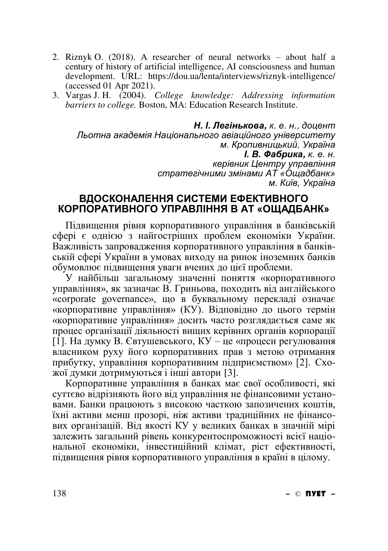- 2. Riznyk O. (2018). A researcher of neural networks about half a century of history of artificial intelligence, AI consciousness and human development. URL: https://dou.ua/lenta/interviews/riznyk-intelligence/ (accessed 01 Apr 2021).
- 3. Vargas J. H. (2004). *College knowledge: Addressing information barriers to college.* Boston, MA: Education Research Institute.

 $H. I.$  Легінькова, к. е. н., доцент Льотна академія Національного авіаційного університету м. Кропивницький, Україна  $I. B.$  Фабрика, к. е. н. *керівник Центру управління*  $cm$ ратегічними змінами АТ «Ощадбанк» *м. Київ*, Україна

### ВДОСКОНАЛЕННЯ СИСТЕМИ ЕФЕКТИВНОГО КОРПОРАТИВНОГО УПРАВЛІННЯ В АТ «ОЩАДБАНК»

Підвищення рівня корпоративного управління в банківській сфері є однією з найгостріших проблем економіки України. Важливість запровадження корпоративного управління в банківській сфері України в умовах виходу на ринок іноземних банків обумовлює підвищення уваги вчених до цієї проблеми.

у найбільш загальному значенні поняття «корпоративного управління», як зазначає В. Гриньова, походить від англійського «corporate governance», що в буквальному перекладі означає «корпоративне управління» (КУ). Відповідно до цього термін «корпоративне управління» досить часто розглядається саме як процес організації діяльності вищих керівних органів корпорації [1]. На думку В. Євтушевського, КУ – це «процеси регулювання власником руху його корпоративних прав з метою отримання прибутку, управління корпоративним підприємством» [2]. Схо- $\overline{x}$ юї думки дотримуються і інші автори [3].

Корпоративне управління в банках має свої особливості, які суттєво відрізняють його від управління не фінансовими устано-Bами. Банки працюють з високою часткою запозичених коштів, їхні активи менш прозорі, ніж активи традиційних не фінансо**вих організацій. Від якості КУ у великих банках в значній мірі** залежить загальний рівень конкурентоспроможності всієї національної економіки, інвестиційний клімат, ріст ефективності, пілвишення рівня корпоративного управління в країні в шлому.